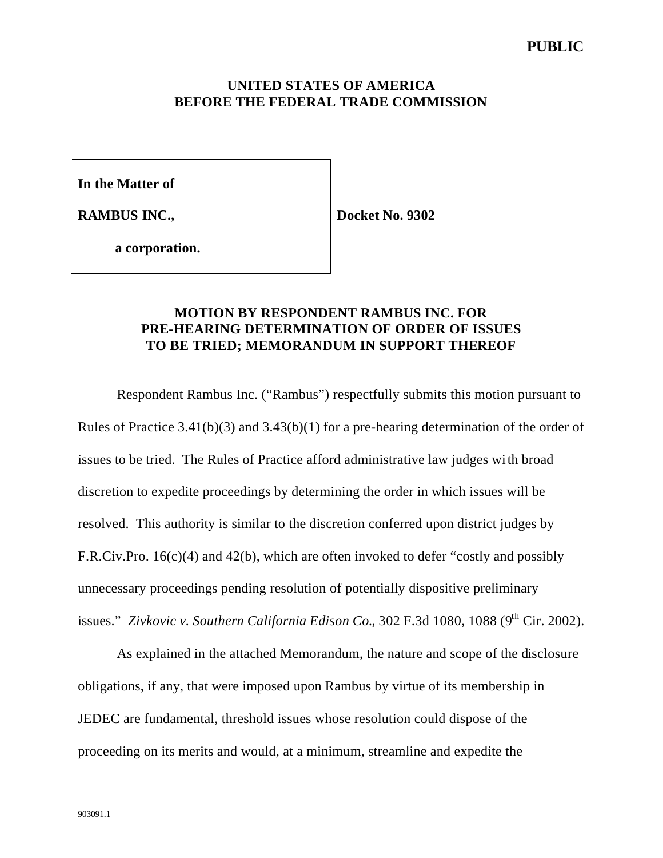#### **UNITED STATES OF AMERICA BEFORE THE FEDERAL TRADE COMMISSION**

**In the Matter of**

**RAMBUS INC.,**

**Docket No. 9302**

**a corporation.**

### **MOTION BY RESPONDENT RAMBUS INC. FOR PRE-HEARING DETERMINATION OF ORDER OF ISSUES TO BE TRIED; MEMORANDUM IN SUPPORT THEREOF**

Respondent Rambus Inc. ("Rambus") respectfully submits this motion pursuant to Rules of Practice 3.41(b)(3) and 3.43(b)(1) for a pre-hearing determination of the order of issues to be tried. The Rules of Practice afford administrative law judges with broad discretion to expedite proceedings by determining the order in which issues will be resolved. This authority is similar to the discretion conferred upon district judges by F.R.Civ.Pro. 16(c)(4) and 42(b), which are often invoked to defer "costly and possibly unnecessary proceedings pending resolution of potentially dispositive preliminary issues." *Zivkovic v. Southern California Edison Co.*,  $302$  F.3d  $1080$ ,  $1088$  ( $9<sup>th</sup>$  Cir. 2002).

As explained in the attached Memorandum, the nature and scope of the disclosure obligations, if any, that were imposed upon Rambus by virtue of its membership in JEDEC are fundamental, threshold issues whose resolution could dispose of the proceeding on its merits and would, at a minimum, streamline and expedite the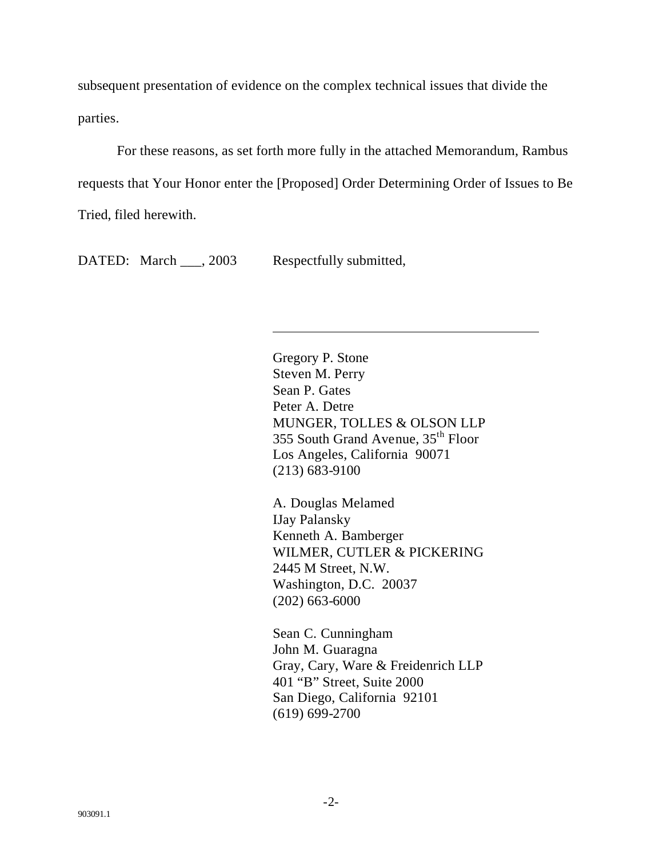subsequent presentation of evidence on the complex technical issues that divide the parties.

For these reasons, as set forth more fully in the attached Memorandum, Rambus requests that Your Honor enter the [Proposed] Order Determining Order of Issues to Be Tried, filed herewith.

DATED: March \_\_\_, 2003 Respectfully submitted,

 $\overline{\phantom{a}}$ 

Gregory P. Stone Steven M. Perry Sean P. Gates Peter A. Detre MUNGER, TOLLES & OLSON LLP 355 South Grand Avenue, 35th Floor Los Angeles, California 90071 (213) 683-9100

A. Douglas Melamed IJay Palansky Kenneth A. Bamberger WILMER, CUTLER & PICKERING 2445 M Street, N.W. Washington, D.C. 20037 (202) 663-6000

Sean C. Cunningham John M. Guaragna Gray, Cary, Ware & Freidenrich LLP 401 "B" Street, Suite 2000 San Diego, California 92101 (619) 699-2700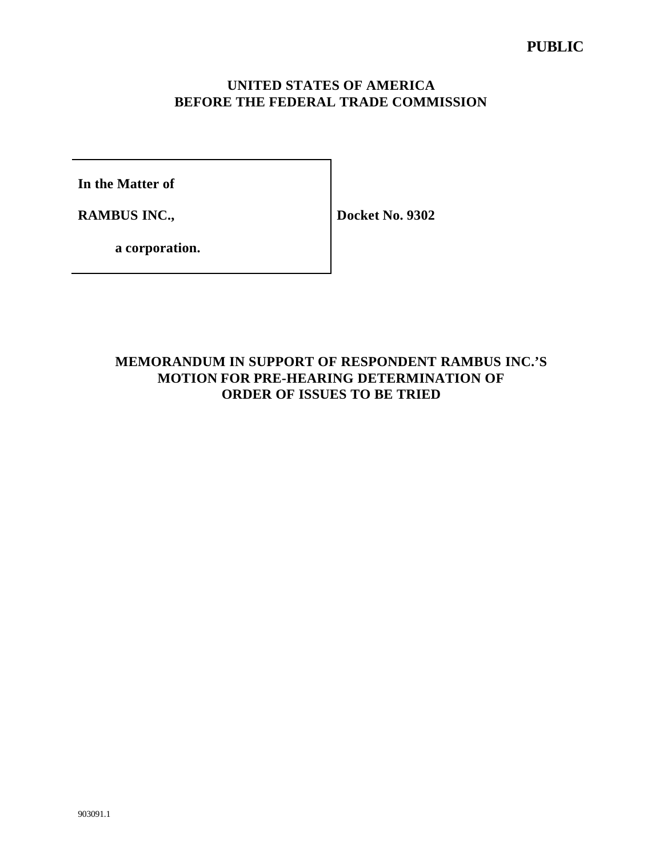## **UNITED STATES OF AMERICA BEFORE THE FEDERAL TRADE COMMISSION**

**In the Matter of**

**RAMBUS INC.,**

**Docket No. 9302**

**a corporation.**

# **MEMORANDUM IN SUPPORT OF RESPONDENT RAMBUS INC.'S MOTION FOR PRE-HEARING DETERMINATION OF ORDER OF ISSUES TO BE TRIED**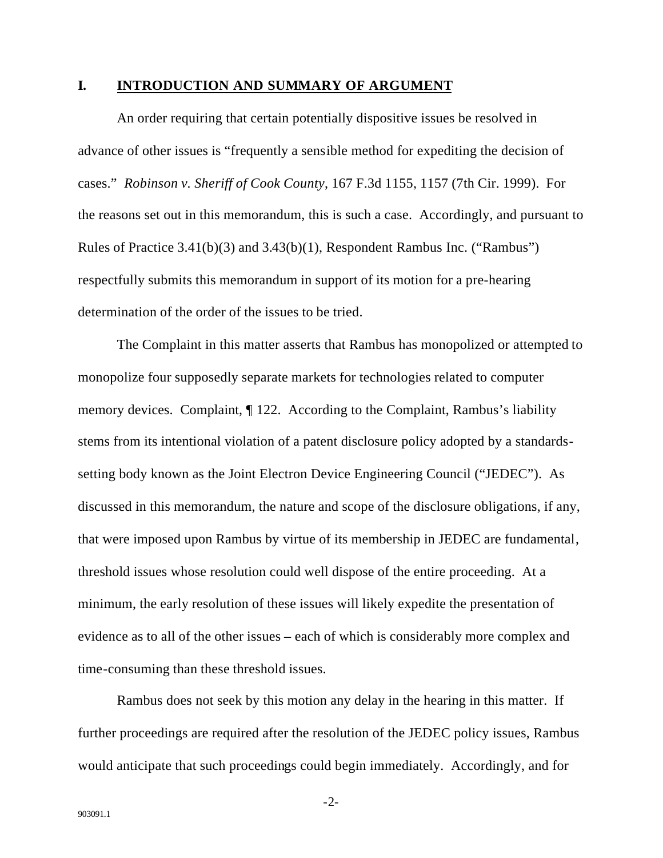#### **I. INTRODUCTION AND SUMMARY OF ARGUMENT**

An order requiring that certain potentially dispositive issues be resolved in advance of other issues is "frequently a sensible method for expediting the decision of cases." *Robinson v. Sheriff of Cook County*, 167 F.3d 1155, 1157 (7th Cir. 1999). For the reasons set out in this memorandum, this is such a case. Accordingly, and pursuant to Rules of Practice 3.41(b)(3) and 3.43(b)(1), Respondent Rambus Inc. ("Rambus") respectfully submits this memorandum in support of its motion for a pre-hearing determination of the order of the issues to be tried.

The Complaint in this matter asserts that Rambus has monopolized or attempted to monopolize four supposedly separate markets for technologies related to computer memory devices. Complaint, ¶ 122. According to the Complaint, Rambus's liability stems from its intentional violation of a patent disclosure policy adopted by a standardssetting body known as the Joint Electron Device Engineering Council ("JEDEC"). As discussed in this memorandum, the nature and scope of the disclosure obligations, if any, that were imposed upon Rambus by virtue of its membership in JEDEC are fundamental, threshold issues whose resolution could well dispose of the entire proceeding. At a minimum, the early resolution of these issues will likely expedite the presentation of evidence as to all of the other issues – each of which is considerably more complex and time-consuming than these threshold issues.

Rambus does not seek by this motion any delay in the hearing in this matter. If further proceedings are required after the resolution of the JEDEC policy issues, Rambus would anticipate that such proceedings could begin immediately. Accordingly, and for

-2-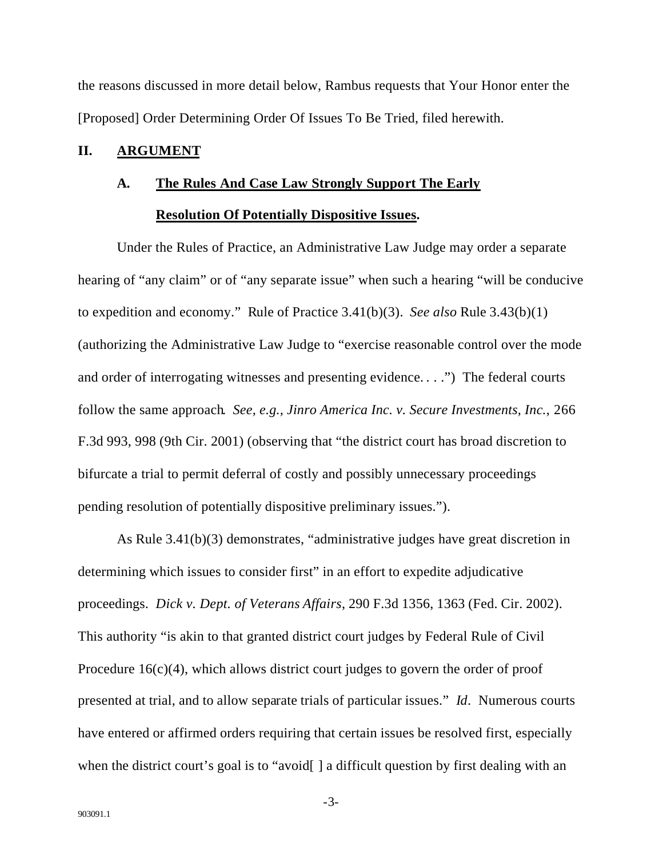the reasons discussed in more detail below, Rambus requests that Your Honor enter the [Proposed] Order Determining Order Of Issues To Be Tried, filed herewith.

#### **II. ARGUMENT**

# **A. The Rules And Case Law Strongly Support The Early**

### **Resolution Of Potentially Dispositive Issues.**

Under the Rules of Practice, an Administrative Law Judge may order a separate hearing of "any claim" or of "any separate issue" when such a hearing "will be conducive to expedition and economy." Rule of Practice 3.41(b)(3). *See also* Rule 3.43(b)(1) (authorizing the Administrative Law Judge to "exercise reasonable control over the mode and order of interrogating witnesses and presenting evidence. . . .") The federal courts follow the same approach. *See, e.g., Jinro America Inc. v. Secure Investments, Inc.*, 266 F.3d 993, 998 (9th Cir. 2001) (observing that "the district court has broad discretion to bifurcate a trial to permit deferral of costly and possibly unnecessary proceedings pending resolution of potentially dispositive preliminary issues.").

As Rule 3.41(b)(3) demonstrates, "administrative judges have great discretion in determining which issues to consider first" in an effort to expedite adjudicative proceedings. *Dick v. Dept. of Veterans Affairs*, 290 F.3d 1356, 1363 (Fed. Cir. 2002). This authority "is akin to that granted district court judges by Federal Rule of Civil Procedure 16(c)(4), which allows district court judges to govern the order of proof presented at trial, and to allow separate trials of particular issues." *Id*. Numerous courts have entered or affirmed orders requiring that certain issues be resolved first, especially when the district court's goal is to "avoid[] a difficult question by first dealing with an

-3-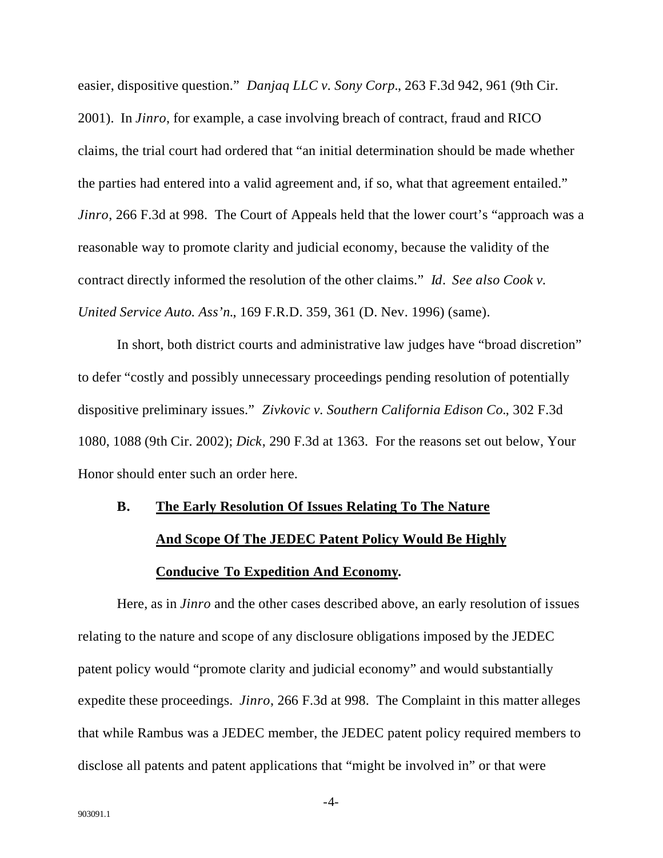easier, dispositive question." *Danjaq LLC v. Sony Corp.*, 263 F.3d 942, 961 (9th Cir.

2001). In *Jinro*, for example, a case involving breach of contract, fraud and RICO claims, the trial court had ordered that "an initial determination should be made whether the parties had entered into a valid agreement and, if so, what that agreement entailed." *Jinro*, 266 F.3d at 998. The Court of Appeals held that the lower court's "approach was a reasonable way to promote clarity and judicial economy, because the validity of the contract directly informed the resolution of the other claims." *Id*. *See also Cook v. United Service Auto. Ass'n.*, 169 F.R.D. 359, 361 (D. Nev. 1996) (same).

In short, both district courts and administrative law judges have "broad discretion" to defer "costly and possibly unnecessary proceedings pending resolution of potentially dispositive preliminary issues." *Zivkovic v. Southern California Edison Co.*, 302 F.3d 1080, 1088 (9th Cir. 2002); *Dick*, 290 F.3d at 1363. For the reasons set out below, Your Honor should enter such an order here.

# **B. The Early Resolution Of Issues Relating To The Nature And Scope Of The JEDEC Patent Policy Would Be Highly Conducive To Expedition And Economy.**

Here, as in *Jinro* and the other cases described above, an early resolution of issues relating to the nature and scope of any disclosure obligations imposed by the JEDEC patent policy would "promote clarity and judicial economy" and would substantially expedite these proceedings. *Jinro*, 266 F.3d at 998. The Complaint in this matter alleges that while Rambus was a JEDEC member, the JEDEC patent policy required members to disclose all patents and patent applications that "might be involved in" or that were

-4-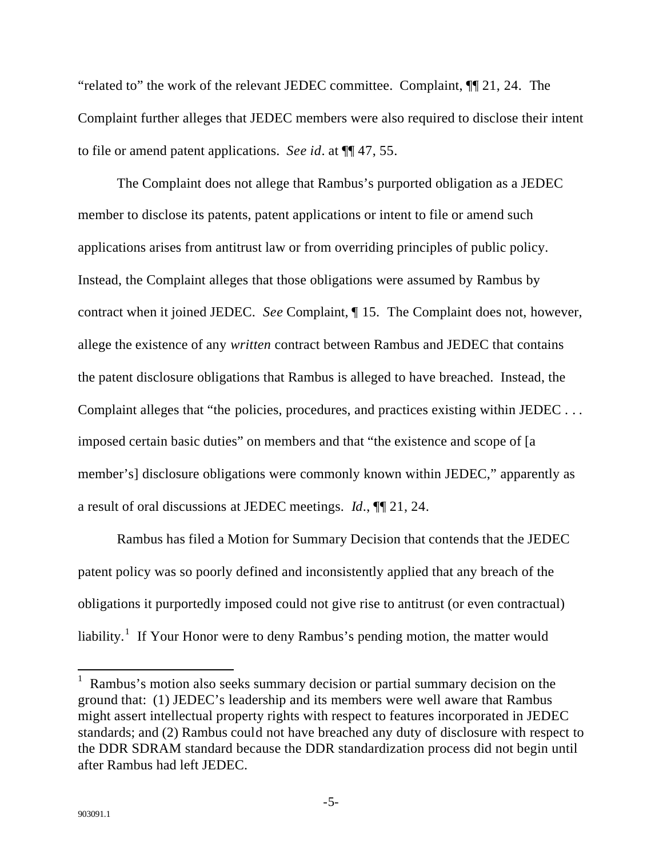"related to" the work of the relevant JEDEC committee. Complaint, ¶¶ 21, 24. The Complaint further alleges that JEDEC members were also required to disclose their intent to file or amend patent applications. *See id*. at ¶¶ 47, 55.

The Complaint does not allege that Rambus's purported obligation as a JEDEC member to disclose its patents, patent applications or intent to file or amend such applications arises from antitrust law or from overriding principles of public policy. Instead, the Complaint alleges that those obligations were assumed by Rambus by contract when it joined JEDEC. *See* Complaint, ¶ 15. The Complaint does not, however, allege the existence of any *written* contract between Rambus and JEDEC that contains the patent disclosure obligations that Rambus is alleged to have breached. Instead, the Complaint alleges that "the policies, procedures, and practices existing within JEDEC . . . imposed certain basic duties" on members and that "the existence and scope of [a member's] disclosure obligations were commonly known within JEDEC," apparently as a result of oral discussions at JEDEC meetings. *Id*., ¶¶ 21, 24.

Rambus has filed a Motion for Summary Decision that contends that the JEDEC patent policy was so poorly defined and inconsistently applied that any breach of the obligations it purportedly imposed could not give rise to antitrust (or even contractual) liability.<sup>1</sup> If Your Honor were to deny Rambus's pending motion, the matter would

<sup>&</sup>lt;sup>1</sup> Rambus's motion also seeks summary decision or partial summary decision on the ground that: (1) JEDEC's leadership and its members were well aware that Rambus might assert intellectual property rights with respect to features incorporated in JEDEC standards; and (2) Rambus could not have breached any duty of disclosure with respect to the DDR SDRAM standard because the DDR standardization process did not begin until after Rambus had left JEDEC.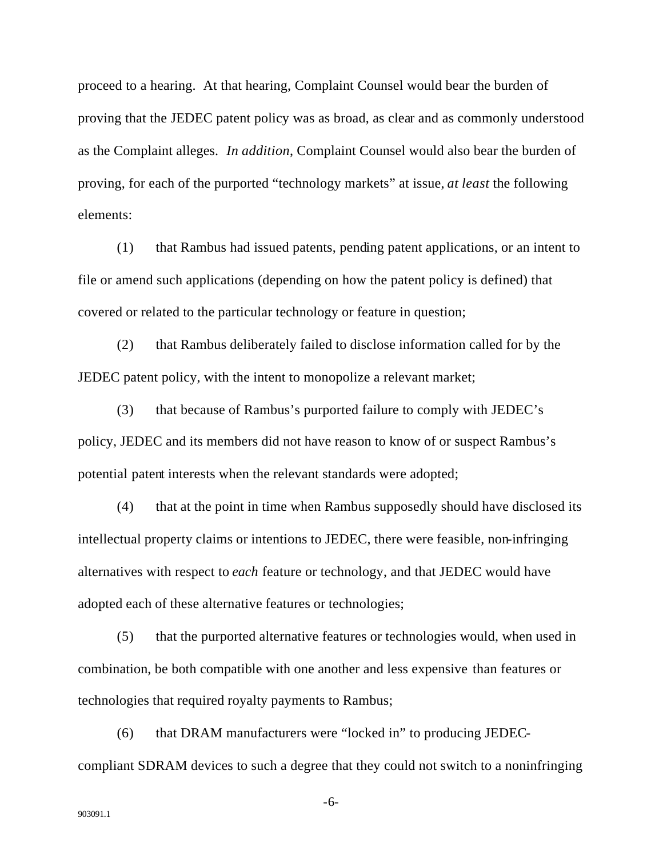proceed to a hearing. At that hearing, Complaint Counsel would bear the burden of proving that the JEDEC patent policy was as broad, as clear and as commonly understood as the Complaint alleges. *In addition*, Complaint Counsel would also bear the burden of proving, for each of the purported "technology markets" at issue, *at least* the following elements:

(1) that Rambus had issued patents, pending patent applications, or an intent to file or amend such applications (depending on how the patent policy is defined) that covered or related to the particular technology or feature in question;

(2) that Rambus deliberately failed to disclose information called for by the JEDEC patent policy, with the intent to monopolize a relevant market;

(3) that because of Rambus's purported failure to comply with JEDEC's policy, JEDEC and its members did not have reason to know of or suspect Rambus's potential patent interests when the relevant standards were adopted;

(4) that at the point in time when Rambus supposedly should have disclosed its intellectual property claims or intentions to JEDEC, there were feasible, non-infringing alternatives with respect to *each* feature or technology, and that JEDEC would have adopted each of these alternative features or technologies;

(5) that the purported alternative features or technologies would, when used in combination, be both compatible with one another and less expensive than features or technologies that required royalty payments to Rambus;

(6) that DRAM manufacturers were "locked in" to producing JEDECcompliant SDRAM devices to such a degree that they could not switch to a noninfringing

-6-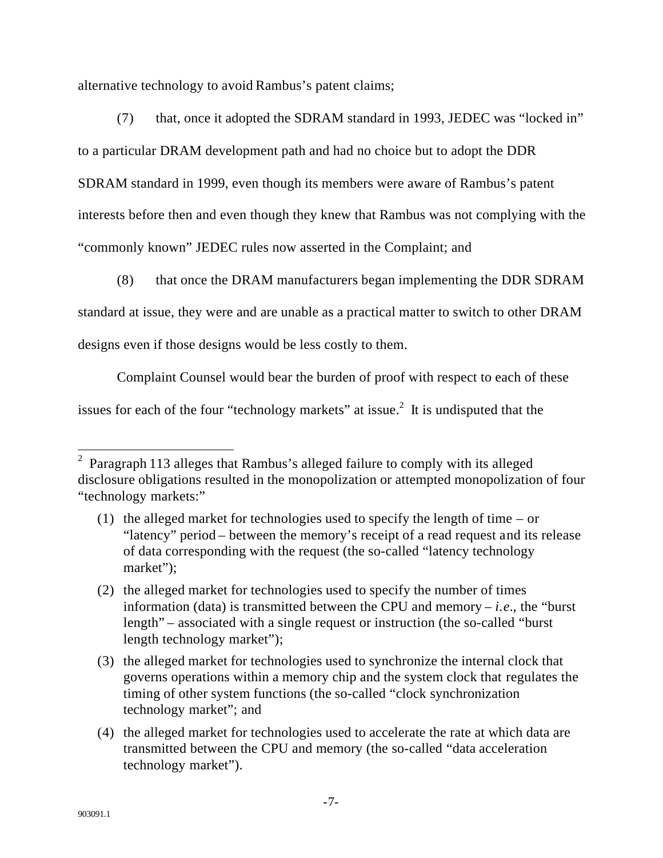alternative technology to avoid Rambus's patent claims;

(7) that, once it adopted the SDRAM standard in 1993, JEDEC was "locked in" to a particular DRAM development path and had no choice but to adopt the DDR SDRAM standard in 1999, even though its members were aware of Rambus's patent interests before then and even though they knew that Rambus was not complying with the "commonly known" JEDEC rules now asserted in the Complaint; and

(8) that once the DRAM manufacturers began implementing the DDR SDRAM

standard at issue, they were and are unable as a practical matter to switch to other DRAM

designs even if those designs would be less costly to them.

Complaint Counsel would bear the burden of proof with respect to each of these

issues for each of the four "technology markets" at issue.<sup>2</sup> It is undisputed that the

<sup>&</sup>lt;sup>2</sup> Paragraph 113 alleges that Rambus's alleged failure to comply with its alleged disclosure obligations resulted in the monopolization or attempted monopolization of four "technology markets:"

<sup>(1)</sup> the alleged market for technologies used to specify the length of time – or "latency" period – between the memory's receipt of a read request and its release of data corresponding with the request (the so-called "latency technology market");

<sup>(2)</sup> the alleged market for technologies used to specify the number of times information (data) is transmitted between the CPU and memory  $-i.e.,$  the "burst" length" – associated with a single request or instruction (the so-called "burst" length technology market");

<sup>(3)</sup> the alleged market for technologies used to synchronize the internal clock that governs operations within a memory chip and the system clock that regulates the timing of other system functions (the so-called "clock synchronization technology market"; and

<sup>(4)</sup> the alleged market for technologies used to accelerate the rate at which data are transmitted between the CPU and memory (the so-called "data acceleration technology market").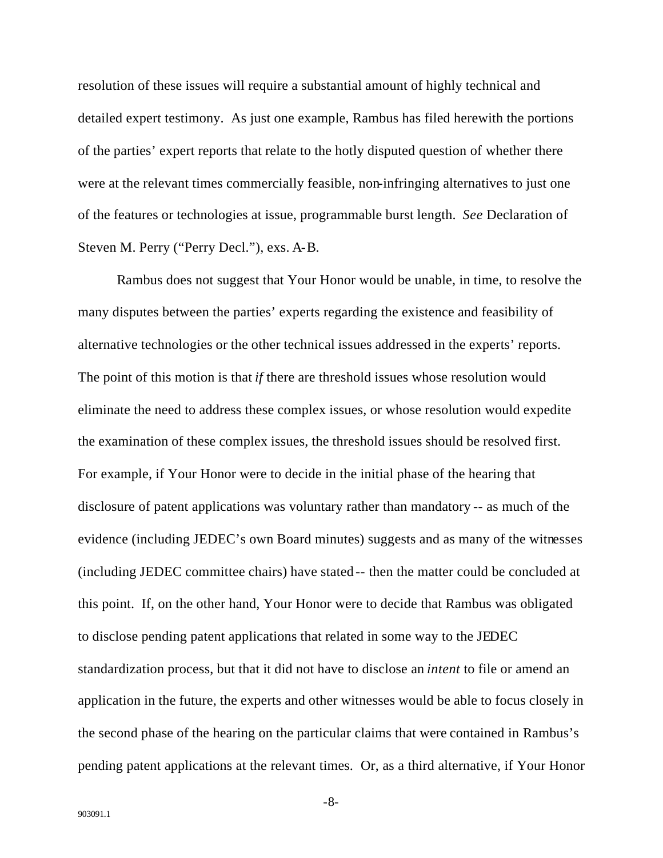resolution of these issues will require a substantial amount of highly technical and detailed expert testimony. As just one example, Rambus has filed herewith the portions of the parties' expert reports that relate to the hotly disputed question of whether there were at the relevant times commercially feasible, non-infringing alternatives to just one of the features or technologies at issue, programmable burst length. *See* Declaration of Steven M. Perry ("Perry Decl."), exs. A-B.

Rambus does not suggest that Your Honor would be unable, in time, to resolve the many disputes between the parties' experts regarding the existence and feasibility of alternative technologies or the other technical issues addressed in the experts' reports. The point of this motion is that *if* there are threshold issues whose resolution would eliminate the need to address these complex issues, or whose resolution would expedite the examination of these complex issues, the threshold issues should be resolved first. For example, if Your Honor were to decide in the initial phase of the hearing that disclosure of patent applications was voluntary rather than mandatory -- as much of the evidence (including JEDEC's own Board minutes) suggests and as many of the witnesses (including JEDEC committee chairs) have stated -- then the matter could be concluded at this point. If, on the other hand, Your Honor were to decide that Rambus was obligated to disclose pending patent applications that related in some way to the JEDEC standardization process, but that it did not have to disclose an *intent* to file or amend an application in the future, the experts and other witnesses would be able to focus closely in the second phase of the hearing on the particular claims that were contained in Rambus's pending patent applications at the relevant times. Or, as a third alternative, if Your Honor

-8-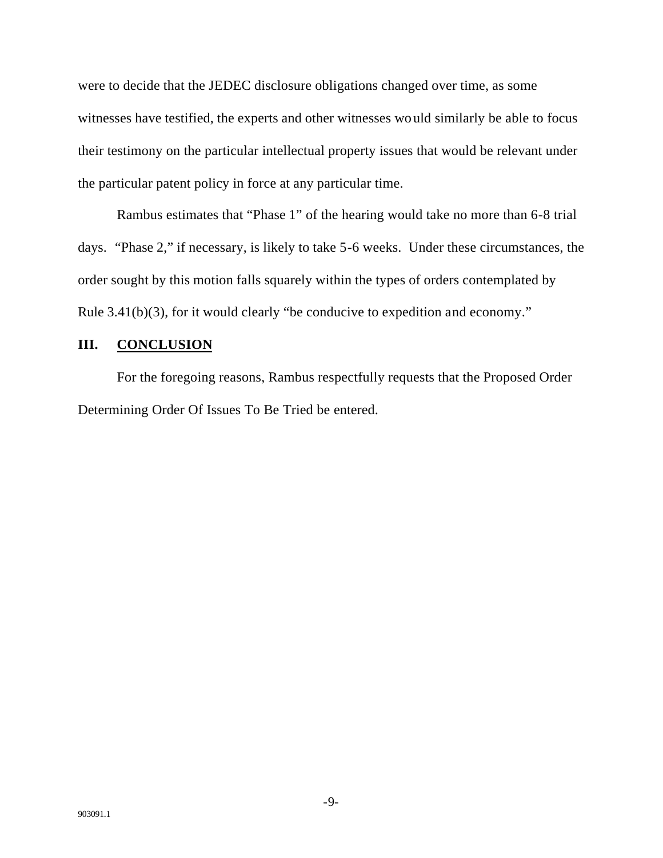were to decide that the JEDEC disclosure obligations changed over time, as some witnesses have testified, the experts and other witnesses would similarly be able to focus their testimony on the particular intellectual property issues that would be relevant under the particular patent policy in force at any particular time.

Rambus estimates that "Phase 1" of the hearing would take no more than 6-8 trial days. "Phase 2," if necessary, is likely to take 5-6 weeks. Under these circumstances, the order sought by this motion falls squarely within the types of orders contemplated by Rule 3.41(b)(3), for it would clearly "be conducive to expedition and economy."

#### **III. CONCLUSION**

For the foregoing reasons, Rambus respectfully requests that the Proposed Order Determining Order Of Issues To Be Tried be entered.